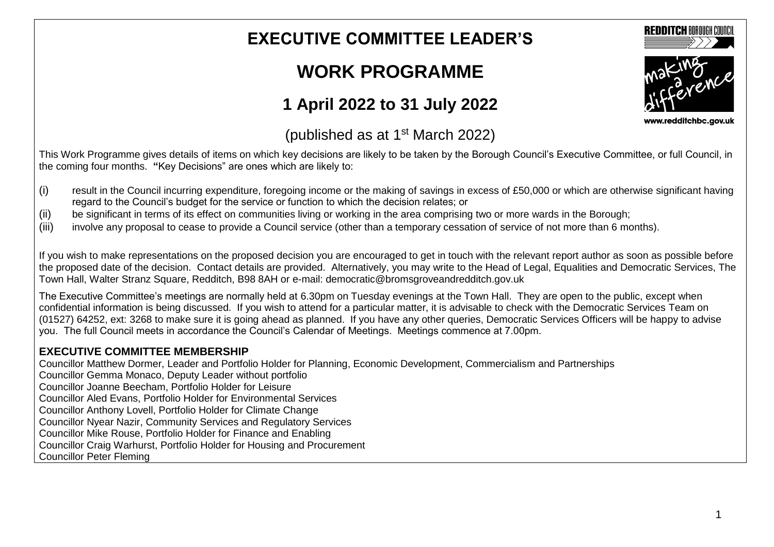## **EXECUTIVE COMMITTEE LEADER'S**

## **WORK PROGRAMME**

## **1 April 2022 to 31 July 2022**

(published as at  $1<sup>st</sup>$  March 2022)

This Work Programme gives details of items on which key decisions are likely to be taken by the Borough Council's Executive Committee, or full Council, in the coming four months. **"**Key Decisions" are ones which are likely to:

- (i) result in the Council incurring expenditure, foregoing income or the making of savings in excess of £50,000 or which are otherwise significant having regard to the Council's budget for the service or function to which the decision relates; or
- (ii) be significant in terms of its effect on communities living or working in the area comprising two or more wards in the Borough;
- (iii) involve any proposal to cease to provide a Council service (other than a temporary cessation of service of not more than 6 months).

If you wish to make representations on the proposed decision you are encouraged to get in touch with the relevant report author as soon as possible before the proposed date of the decision. Contact details are provided. Alternatively, you may write to the Head of Legal, Equalities and Democratic Services, The Town Hall, Walter Stranz Square, Redditch, B98 8AH or e-mail: democratic@bromsgroveandredditch.gov.uk

The Executive Committee's meetings are normally held at 6.30pm on Tuesday evenings at the Town Hall. They are open to the public, except when confidential information is being discussed. If you wish to attend for a particular matter, it is advisable to check with the Democratic Services Team on (01527) 64252, ext: 3268 to make sure it is going ahead as planned. If you have any other queries, Democratic Services Officers will be happy to advise you. The full Council meets in accordance the Council's Calendar of Meetings. Meetings commence at 7.00pm.

## **EXECUTIVE COMMITTEE MEMBERSHIP**

Councillor Matthew Dormer, Leader and Portfolio Holder for Planning, Economic Development, Commercialism and Partnerships Councillor Gemma Monaco, Deputy Leader without portfolio Councillor Joanne Beecham, Portfolio Holder for Leisure Councillor Aled Evans, Portfolio Holder for Environmental Services Councillor Anthony Lovell, Portfolio Holder for Climate Change Councillor Nyear Nazir, Community Services and Regulatory Services Councillor Mike Rouse, Portfolio Holder for Finance and Enabling Councillor Craig Warhurst, Portfolio Holder for Housing and Procurement Councillor Peter Fleming



www.redditchbc.gov.uk

**REDDITCH BOROUGH COUNCI**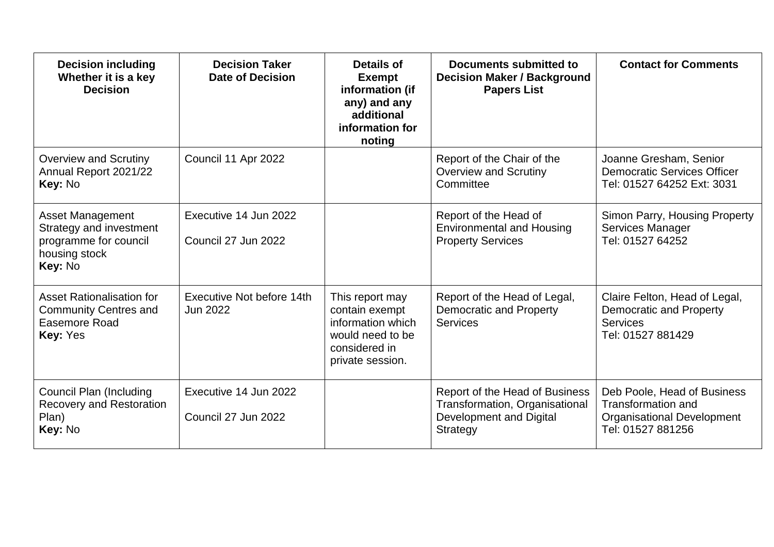| <b>Decision including</b><br>Whether it is a key<br><b>Decision</b>                                     | <b>Decision Taker</b><br><b>Date of Decision</b> | <b>Details of</b><br><b>Exempt</b><br>information (if<br>any) and any<br>additional<br>information for<br>noting | Documents submitted to<br><b>Decision Maker / Background</b><br><b>Papers List</b>                      | <b>Contact for Comments</b>                                                                                 |
|---------------------------------------------------------------------------------------------------------|--------------------------------------------------|------------------------------------------------------------------------------------------------------------------|---------------------------------------------------------------------------------------------------------|-------------------------------------------------------------------------------------------------------------|
| <b>Overview and Scrutiny</b><br>Annual Report 2021/22<br>Key: No                                        | Council 11 Apr 2022                              |                                                                                                                  | Report of the Chair of the<br><b>Overview and Scrutiny</b><br>Committee                                 | Joanne Gresham, Senior<br><b>Democratic Services Officer</b><br>Tel: 01527 64252 Ext: 3031                  |
| <b>Asset Management</b><br>Strategy and investment<br>programme for council<br>housing stock<br>Key: No | Executive 14 Jun 2022<br>Council 27 Jun 2022     |                                                                                                                  | Report of the Head of<br><b>Environmental and Housing</b><br><b>Property Services</b>                   | Simon Parry, Housing Property<br><b>Services Manager</b><br>Tel: 01527 64252                                |
| Asset Rationalisation for<br><b>Community Centres and</b><br>Easemore Road<br>Key: Yes                  | Executive Not before 14th<br>Jun 2022            | This report may<br>contain exempt<br>information which<br>would need to be<br>considered in<br>private session.  | Report of the Head of Legal,<br><b>Democratic and Property</b><br><b>Services</b>                       | Claire Felton, Head of Legal,<br><b>Democratic and Property</b><br><b>Services</b><br>Tel: 01527 881429     |
| <b>Council Plan (Including</b><br><b>Recovery and Restoration</b><br>Plan)<br>Key: No                   | Executive 14 Jun 2022<br>Council 27 Jun 2022     |                                                                                                                  | Report of the Head of Business<br>Transformation, Organisational<br>Development and Digital<br>Strategy | Deb Poole, Head of Business<br><b>Transformation and</b><br>Organisational Development<br>Tel: 01527 881256 |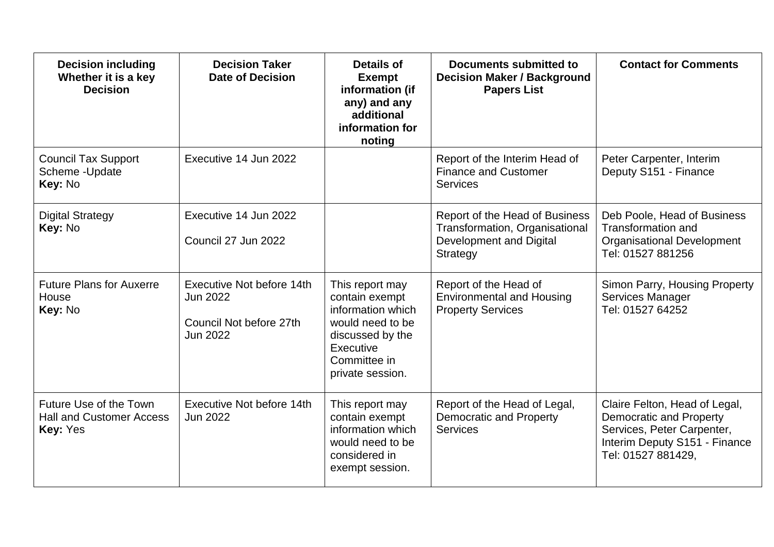| <b>Decision including</b><br>Whether it is a key<br><b>Decision</b>          | <b>Decision Taker</b><br><b>Date of Decision</b>                             | Details of<br><b>Exempt</b><br>information (if<br>any) and any<br>additional<br>information for<br>noting                                       | Documents submitted to<br><b>Decision Maker / Background</b><br><b>Papers List</b>                      | <b>Contact for Comments</b>                                                                                                                          |
|------------------------------------------------------------------------------|------------------------------------------------------------------------------|-------------------------------------------------------------------------------------------------------------------------------------------------|---------------------------------------------------------------------------------------------------------|------------------------------------------------------------------------------------------------------------------------------------------------------|
| <b>Council Tax Support</b><br>Scheme - Update<br>Key: No                     | Executive 14 Jun 2022                                                        |                                                                                                                                                 | Report of the Interim Head of<br><b>Finance and Customer</b><br><b>Services</b>                         | Peter Carpenter, Interim<br>Deputy S151 - Finance                                                                                                    |
| <b>Digital Strategy</b><br>Key: No                                           | Executive 14 Jun 2022<br>Council 27 Jun 2022                                 |                                                                                                                                                 | Report of the Head of Business<br>Transformation, Organisational<br>Development and Digital<br>Strategy | Deb Poole, Head of Business<br><b>Transformation and</b><br><b>Organisational Development</b><br>Tel: 01527 881256                                   |
| <b>Future Plans for Auxerre</b><br>House<br>Key: No                          | Executive Not before 14th<br>Jun 2022<br>Council Not before 27th<br>Jun 2022 | This report may<br>contain exempt<br>information which<br>would need to be<br>discussed by the<br>Executive<br>Committee in<br>private session. | Report of the Head of<br><b>Environmental and Housing</b><br><b>Property Services</b>                   | Simon Parry, Housing Property<br>Services Manager<br>Tel: 01527 64252                                                                                |
| Future Use of the Town<br><b>Hall and Customer Access</b><br><b>Key: Yes</b> | Executive Not before 14th<br><b>Jun 2022</b>                                 | This report may<br>contain exempt<br>information which<br>would need to be<br>considered in<br>exempt session.                                  | Report of the Head of Legal,<br>Democratic and Property<br><b>Services</b>                              | Claire Felton, Head of Legal,<br><b>Democratic and Property</b><br>Services, Peter Carpenter,<br>Interim Deputy S151 - Finance<br>Tel: 01527 881429, |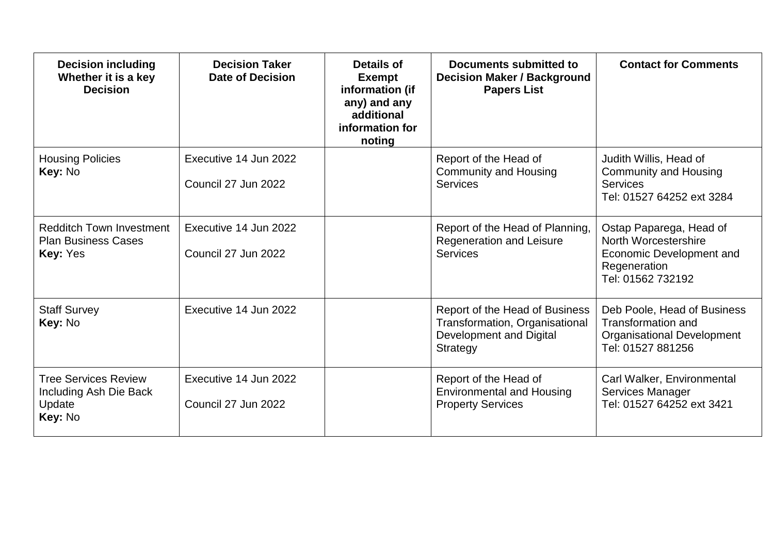| <b>Decision including</b><br>Whether it is a key<br><b>Decision</b>              | <b>Decision Taker</b><br><b>Date of Decision</b> | Details of<br><b>Exempt</b><br>information (if<br>any) and any<br>additional<br>information for<br>noting | Documents submitted to<br><b>Decision Maker / Background</b><br><b>Papers List</b>                      | <b>Contact for Comments</b>                                                                                        |
|----------------------------------------------------------------------------------|--------------------------------------------------|-----------------------------------------------------------------------------------------------------------|---------------------------------------------------------------------------------------------------------|--------------------------------------------------------------------------------------------------------------------|
| <b>Housing Policies</b><br>Key: No                                               | Executive 14 Jun 2022<br>Council 27 Jun 2022     |                                                                                                           | Report of the Head of<br><b>Community and Housing</b><br><b>Services</b>                                | Judith Willis, Head of<br><b>Community and Housing</b><br><b>Services</b><br>Tel: 01527 64252 ext 3284             |
| <b>Redditch Town Investment</b><br><b>Plan Business Cases</b><br><b>Key: Yes</b> | Executive 14 Jun 2022<br>Council 27 Jun 2022     |                                                                                                           | Report of the Head of Planning,<br><b>Regeneration and Leisure</b><br><b>Services</b>                   | Ostap Paparega, Head of<br>North Worcestershire<br>Economic Development and<br>Regeneration<br>Tel: 01562 732192   |
| <b>Staff Survey</b><br><b>Key: No</b>                                            | Executive 14 Jun 2022                            |                                                                                                           | Report of the Head of Business<br>Transformation, Organisational<br>Development and Digital<br>Strategy | Deb Poole, Head of Business<br><b>Transformation and</b><br><b>Organisational Development</b><br>Tel: 01527 881256 |
| <b>Tree Services Review</b><br>Including Ash Die Back<br>Update<br>Key: No       | Executive 14 Jun 2022<br>Council 27 Jun 2022     |                                                                                                           | Report of the Head of<br><b>Environmental and Housing</b><br><b>Property Services</b>                   | Carl Walker, Environmental<br>Services Manager<br>Tel: 01527 64252 ext 3421                                        |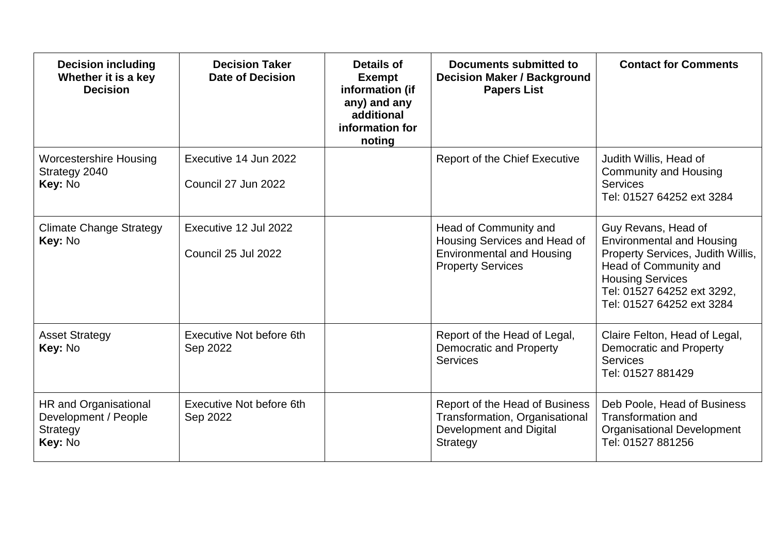| <b>Decision including</b><br>Whether it is a key<br><b>Decision</b>  | <b>Decision Taker</b><br><b>Date of Decision</b> | Details of<br><b>Exempt</b><br>information (if<br>any) and any<br>additional<br>information for<br>noting | Documents submitted to<br><b>Decision Maker / Background</b><br><b>Papers List</b>                                    | <b>Contact for Comments</b>                                                                                                                                                                                 |
|----------------------------------------------------------------------|--------------------------------------------------|-----------------------------------------------------------------------------------------------------------|-----------------------------------------------------------------------------------------------------------------------|-------------------------------------------------------------------------------------------------------------------------------------------------------------------------------------------------------------|
| <b>Worcestershire Housing</b><br>Strategy 2040<br>Key: No            | Executive 14 Jun 2022<br>Council 27 Jun 2022     |                                                                                                           | <b>Report of the Chief Executive</b>                                                                                  | Judith Willis, Head of<br><b>Community and Housing</b><br><b>Services</b><br>Tel: 01527 64252 ext 3284                                                                                                      |
| <b>Climate Change Strategy</b><br>Key: No                            | Executive 12 Jul 2022<br>Council 25 Jul 2022     |                                                                                                           | Head of Community and<br>Housing Services and Head of<br><b>Environmental and Housing</b><br><b>Property Services</b> | Guy Revans, Head of<br><b>Environmental and Housing</b><br>Property Services, Judith Willis,<br>Head of Community and<br><b>Housing Services</b><br>Tel: 01527 64252 ext 3292,<br>Tel: 01527 64252 ext 3284 |
| <b>Asset Strategy</b><br>Key: No                                     | Executive Not before 6th<br>Sep 2022             |                                                                                                           | Report of the Head of Legal,<br><b>Democratic and Property</b><br><b>Services</b>                                     | Claire Felton, Head of Legal,<br><b>Democratic and Property</b><br><b>Services</b><br>Tel: 01527 881429                                                                                                     |
| HR and Organisational<br>Development / People<br>Strategy<br>Key: No | Executive Not before 6th<br>Sep 2022             |                                                                                                           | Report of the Head of Business<br>Transformation, Organisational<br>Development and Digital<br>Strategy               | Deb Poole, Head of Business<br><b>Transformation and</b><br><b>Organisational Development</b><br>Tel: 01527 881256                                                                                          |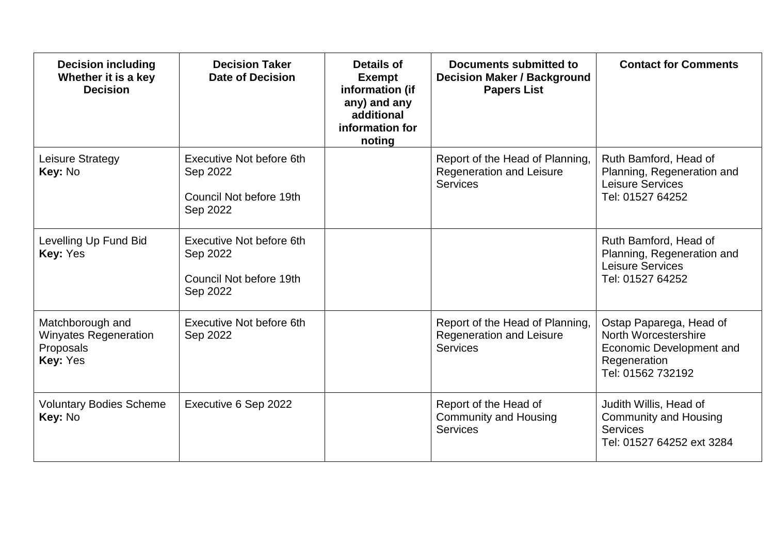| <b>Decision including</b><br>Whether it is a key<br><b>Decision</b> | <b>Decision Taker</b><br><b>Date of Decision</b>                            | <b>Details of</b><br><b>Exempt</b><br>information (if<br>any) and any<br>additional<br>information for<br>noting | Documents submitted to<br><b>Decision Maker / Background</b><br><b>Papers List</b> | <b>Contact for Comments</b>                                                                                      |
|---------------------------------------------------------------------|-----------------------------------------------------------------------------|------------------------------------------------------------------------------------------------------------------|------------------------------------------------------------------------------------|------------------------------------------------------------------------------------------------------------------|
| Leisure Strategy<br>Key: No                                         | Executive Not before 6th<br>Sep 2022<br>Council Not before 19th<br>Sep 2022 |                                                                                                                  | Report of the Head of Planning,<br>Regeneration and Leisure<br><b>Services</b>     | Ruth Bamford, Head of<br>Planning, Regeneration and<br>Leisure Services<br>Tel: 01527 64252                      |
| Levelling Up Fund Bid<br>Key: Yes                                   | Executive Not before 6th<br>Sep 2022<br>Council Not before 19th<br>Sep 2022 |                                                                                                                  |                                                                                    | Ruth Bamford, Head of<br>Planning, Regeneration and<br>Leisure Services<br>Tel: 01527 64252                      |
| Matchborough and<br>Winyates Regeneration<br>Proposals<br>Key: Yes  | Executive Not before 6th<br>Sep 2022                                        |                                                                                                                  | Report of the Head of Planning,<br>Regeneration and Leisure<br><b>Services</b>     | Ostap Paparega, Head of<br>North Worcestershire<br>Economic Development and<br>Regeneration<br>Tel: 01562 732192 |
| <b>Voluntary Bodies Scheme</b><br>Key: No                           | Executive 6 Sep 2022                                                        |                                                                                                                  | Report of the Head of<br><b>Community and Housing</b><br><b>Services</b>           | Judith Willis, Head of<br><b>Community and Housing</b><br><b>Services</b><br>Tel: 01527 64252 ext 3284           |